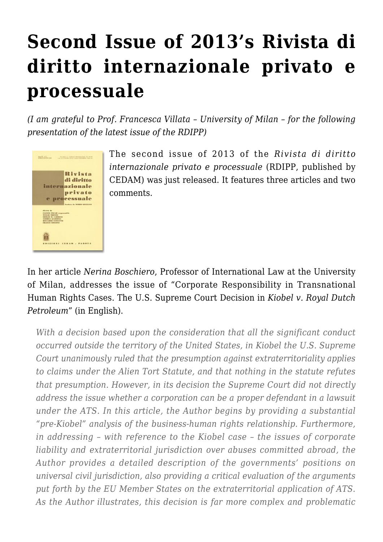# **[Second Issue of 2013's Rivista di](https://conflictoflaws.net/2013/second-issue-of-2013s-rivista-di-diritto-internazionale-privato-e-processuale/) [diritto internazionale privato e](https://conflictoflaws.net/2013/second-issue-of-2013s-rivista-di-diritto-internazionale-privato-e-processuale/) [processuale](https://conflictoflaws.net/2013/second-issue-of-2013s-rivista-di-diritto-internazionale-privato-e-processuale/)**

*(I am grateful to Prof. Francesca Villata – University of Milan – for the following presentation of the latest issue of the RDIPP)*



The second issue of 2013 of the *[Rivista di diritto](http://shop.wki.it/cedam/riviste/rivista_di_diritto_internazionale_privato_e_processuale_s9242.aspx) [internazionale privato e processuale](http://shop.wki.it/cedam/riviste/rivista_di_diritto_internazionale_privato_e_processuale_s9242.aspx)* (RDIPP, published by CEDAM) was just released. It features three articles and two comments.

In her article *Nerina Boschiero*, Professor of International Law at the University of Milan, addresses the issue of "Corporate Responsibility in Transnational Human Rights Cases. The U.S. Supreme Court Decision in *Kiobel v. Royal Dutch Petroleum*" (in English).

*With a decision based upon the consideration that all the significant conduct occurred outside the territory of the United States, in Kiobel the U.S. Supreme Court unanimously ruled that the presumption against extraterritoriality applies to claims under the Alien Tort Statute, and that nothing in the statute refutes that presumption. However, in its decision the Supreme Court did not directly address the issue whether a corporation can be a proper defendant in a lawsuit under the ATS. In this article, the Author begins by providing a substantial "pre-Kiobel" analysis of the business-human rights relationship. Furthermore, in addressing – with reference to the Kiobel case – the issues of corporate liability and extraterritorial jurisdiction over abuses committed abroad, the Author provides a detailed description of the governments' positions on universal civil jurisdiction, also providing a critical evaluation of the arguments put forth by the EU Member States on the extraterritorial application of ATS. As the Author illustrates, this decision is far more complex and problematic*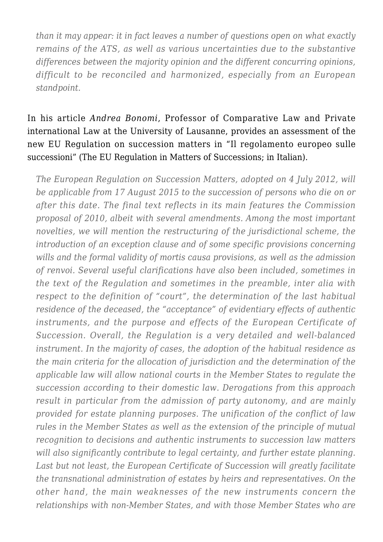*than it may appear: it in fact leaves a number of questions open on what exactly remains of the ATS, as well as various uncertainties due to the substantive differences between the majority opinion and the different concurring opinions, difficult to be reconciled and harmonized, especially from an European standpoint.*

In his article *Andrea Bonomi*, Professor of Comparative Law and Private international Law at the University of Lausanne, provides an assessment of the new EU Regulation on succession matters in "Il regolamento europeo sulle successioni" (The EU Regulation in Matters of Successions; in Italian).

*The European Regulation on Succession Matters, adopted on 4 July 2012, will be applicable from 17 August 2015 to the succession of persons who die on or after this date. The final text reflects in its main features the Commission proposal of 2010, albeit with several amendments. Among the most important novelties, we will mention the restructuring of the jurisdictional scheme, the introduction of an exception clause and of some specific provisions concerning wills and the formal validity of mortis causa provisions, as well as the admission of renvoi. Several useful clarifications have also been included, sometimes in the text of the Regulation and sometimes in the preamble, inter alia with respect to the definition of "court", the determination of the last habitual residence of the deceased, the "acceptance" of evidentiary effects of authentic instruments, and the purpose and effects of the European Certificate of Succession. Overall, the Regulation is a very detailed and well-balanced instrument. In the majority of cases, the adoption of the habitual residence as the main criteria for the allocation of jurisdiction and the determination of the applicable law will allow national courts in the Member States to regulate the succession according to their domestic law. Derogations from this approach result in particular from the admission of party autonomy, and are mainly provided for estate planning purposes. The unification of the conflict of law rules in the Member States as well as the extension of the principle of mutual recognition to decisions and authentic instruments to succession law matters will also significantly contribute to legal certainty, and further estate planning. Last but not least, the European Certificate of Succession will greatly facilitate the transnational administration of estates by heirs and representatives. On the other hand, the main weaknesses of the new instruments concern the relationships with non-Member States, and with those Member States who are*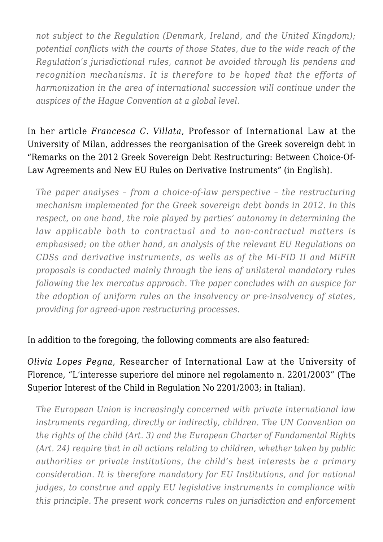*not subject to the Regulation (Denmark, Ireland, and the United Kingdom); potential conflicts with the courts of those States, due to the wide reach of the Regulation's jurisdictional rules, cannot be avoided through lis pendens and recognition mechanisms. It is therefore to be hoped that the efforts of harmonization in the area of international succession will continue under the auspices of the Hague Convention at a global level.*

## In her article *Francesca C. Villata*, Professor of International Law at the University of Milan, addresses the reorganisation of the Greek sovereign debt in "Remarks on the 2012 Greek Sovereign Debt Restructuring: Between Choice-Of-Law Agreements and New EU Rules on Derivative Instruments" (in English).

*The paper analyses – from a choice-of-law perspective – the restructuring mechanism implemented for the Greek sovereign debt bonds in 2012. In this respect, on one hand, the role played by parties' autonomy in determining the law applicable both to contractual and to non-contractual matters is emphasised; on the other hand, an analysis of the relevant EU Regulations on CDSs and derivative instruments, as wells as of the Mi-FID II and MiFIR proposals is conducted mainly through the lens of unilateral mandatory rules following the lex mercatus approach. The paper concludes with an auspice for the adoption of uniform rules on the insolvency or pre-insolvency of states, providing for agreed-upon restructuring processes.*

#### In addition to the foregoing, the following comments are also featured:

### *Olivia Lopes Pegna*, Researcher of International Law at the University of Florence, "L'interesse superiore del minore nel regolamento n. 2201/2003" (The Superior Interest of the Child in Regulation No 2201/2003; in Italian).

*The European Union is increasingly concerned with private international law instruments regarding, directly or indirectly, children. The UN Convention on the rights of the child (Art. 3) and the European Charter of Fundamental Rights (Art. 24) require that in all actions relating to children, whether taken by public authorities or private institutions, the child's best interests be a primary consideration. It is therefore mandatory for EU Institutions, and for national judges, to construe and apply EU legislative instruments in compliance with this principle. The present work concerns rules on jurisdiction and enforcement*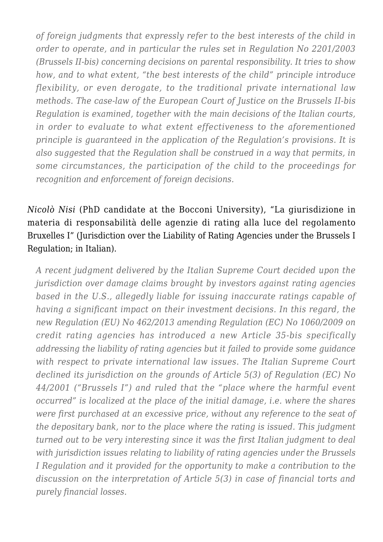*of foreign judgments that expressly refer to the best interests of the child in order to operate, and in particular the rules set in Regulation No 2201/2003 (Brussels II-bis) concerning decisions on parental responsibility. It tries to show how, and to what extent, "the best interests of the child" principle introduce flexibility, or even derogate, to the traditional private international law methods. The case-law of the European Court of Justice on the Brussels II-bis Regulation is examined, together with the main decisions of the Italian courts, in order to evaluate to what extent effectiveness to the aforementioned principle is guaranteed in the application of the Regulation's provisions. It is also suggested that the Regulation shall be construed in a way that permits, in some circumstances, the participation of the child to the proceedings for recognition and enforcement of foreign decisions.*

## *Nicolò Nisi* (PhD candidate at the Bocconi University), "La giurisdizione in materia di responsabilità delle agenzie di rating alla luce del regolamento Bruxelles I" (Jurisdiction over the Liability of Rating Agencies under the Brussels I Regulation; in Italian).

*A recent judgment delivered by the Italian Supreme Court decided upon the jurisdiction over damage claims brought by investors against rating agencies based in the U.S., allegedly liable for issuing inaccurate ratings capable of having a significant impact on their investment decisions. In this regard, the new Regulation (EU) No 462/2013 amending Regulation (EC) No 1060/2009 on credit rating agencies has introduced a new Article 35-bis specifically addressing the liability of rating agencies but it failed to provide some guidance with respect to private international law issues. The Italian Supreme Court declined its jurisdiction on the grounds of Article 5(3) of Regulation (EC) No 44/2001 ("Brussels I") and ruled that the "place where the harmful event occurred" is localized at the place of the initial damage, i.e. where the shares were first purchased at an excessive price, without any reference to the seat of the depositary bank, nor to the place where the rating is issued. This judgment turned out to be very interesting since it was the first Italian judgment to deal with jurisdiction issues relating to liability of rating agencies under the Brussels I Regulation and it provided for the opportunity to make a contribution to the discussion on the interpretation of Article 5(3) in case of financial torts and purely financial losses.*